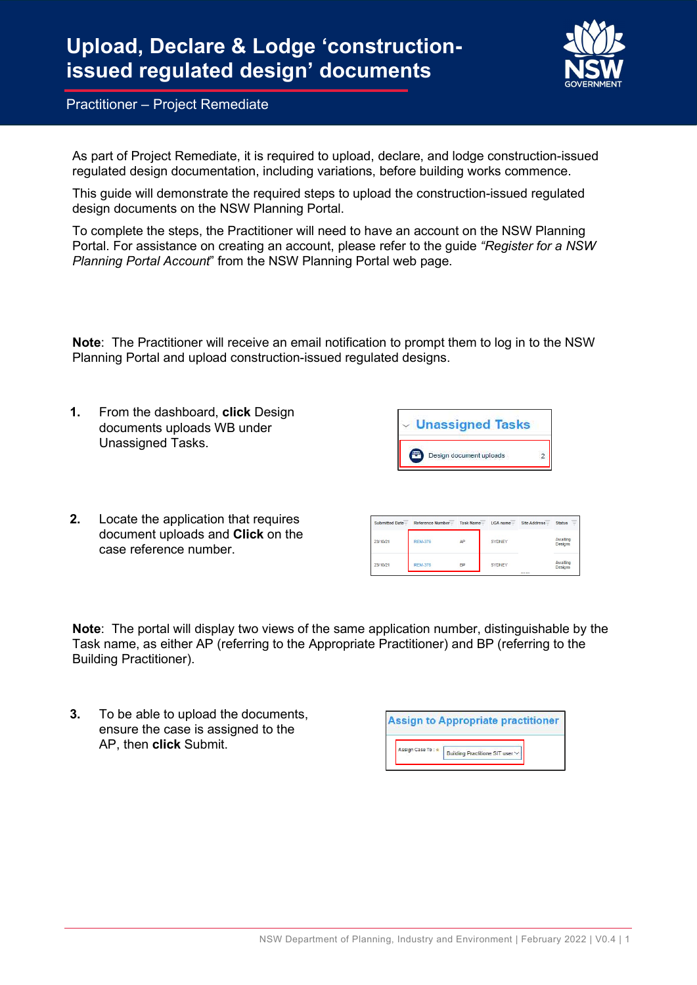

As part of Project Remediate, it is required to upload, declare, and lodge construction-issued regulated design documentation, including variations, before building works commence.

This guide will demonstrate the required steps to upload the construction-issued regulated design documents on the NSW Planning Portal.

To complete the steps, the Practitioner will need to have an account on the NSW Planning Portal. For assistance on creating an account, please refer to the guide "Register for a NSW Planning Portal Account" from the NSW Planning Portal web page.

Note: The Practitioner will receive an email notification to prompt them to log in to the NSW Planning Portal and upload construction-issued regulated designs.

| 1. | From the dashboard, click Design<br>documents uploads WB under |                 | Unassigned Tasks  |                         |                |                |                   |
|----|----------------------------------------------------------------|-----------------|-------------------|-------------------------|----------------|----------------|-------------------|
|    | Unassigned Tasks.                                              |                 |                   | Design document uploads |                | $\overline{c}$ |                   |
| 2. | Locate the application that requires                           | Submitted Date- | Reference Number- | Task Name-              | $LGA$ name $=$ | Site Address-  | <b>Status</b>     |
|    | document uploads and Click on the<br>case reference number.    | 23/10/21        | <b>REM-376</b>    | ΔP                      | <b>SYDNEY</b>  |                | Awaitin<br>Design |
|    |                                                                | 23/10/21        | <b>REM-376</b>    | <b>BP</b>               | <b>SYDNEY</b>  |                | Awaitin<br>Design |

Note: The portal will display two views of the same application number, distinguishable by the Task name, as either AP (referring to the Appropriate Practitioner) and BP (referring to the Building Practitioner).

3. To be able to upload the documents, ensure the case is assigned to the AP, then click Submit.

|                   | <b>Assign to Appropriate practitioner</b> |
|-------------------|-------------------------------------------|
| Assign Case To: * | Building Practitione SIT user V           |
|                   |                                           |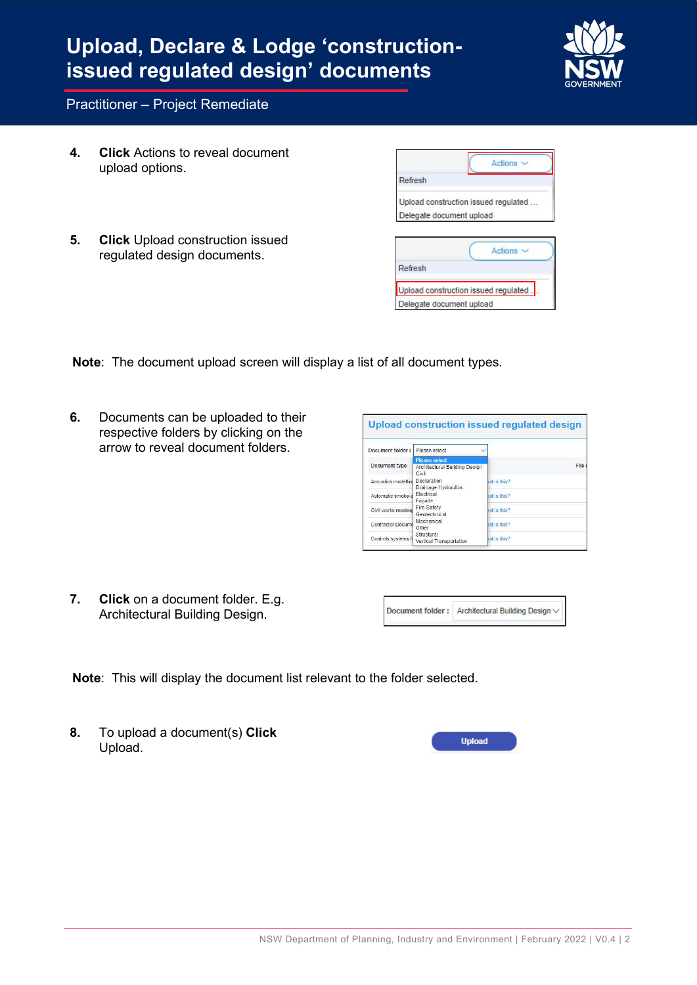# Upload, Declare & Lodge 'constructionissued regulated design' documents



#### Practitioner – Project Remediate

- 4. Click Actions to reveal document upload options.
- 5. Click Upload construction issued regulated design documents.

|                          | Actions                               |  |
|--------------------------|---------------------------------------|--|
| Refresh                  |                                       |  |
|                          | Upload construction issued regulated  |  |
| Delegate document upload |                                       |  |
|                          |                                       |  |
|                          | Actions $\sim$                        |  |
|                          |                                       |  |
| Refresh                  | Upload construction issued regulated. |  |

Note: The document upload screen will display a list of all document types.

6. Documents can be uploaded to their respective folders by clicking on the arrow to reveal document folders.

| Document folder:                | Please select<br>v                                             |              |
|---------------------------------|----------------------------------------------------------------|--------------|
| Document type                   | <b>Please select</b><br>Architectural Building Design<br>Civil | File         |
| Acoustics modelling Declaration | Drainage Hydraulics                                            | at is this?  |
| Automatic smoke-a               | Electrical<br>Facade                                           | rat is this? |
| Civil works masterd             | Fire Safety<br>Geotechnical                                    | at is this?  |
| Contractor Docume               | Mechanical<br>Other                                            | hat is this? |
| Controls systems fo             | Structural<br>Vertical Transportation                          | at is this?  |

7. Click on a document folder. E.g. Architectural Building Design.

Document folder: Architectural Building Design  $\vee$ 

Note: This will display the document list relevant to the folder selected.

8. To upload a document(s) Click Upload.

| <b>Upload</b> |  |
|---------------|--|
|               |  |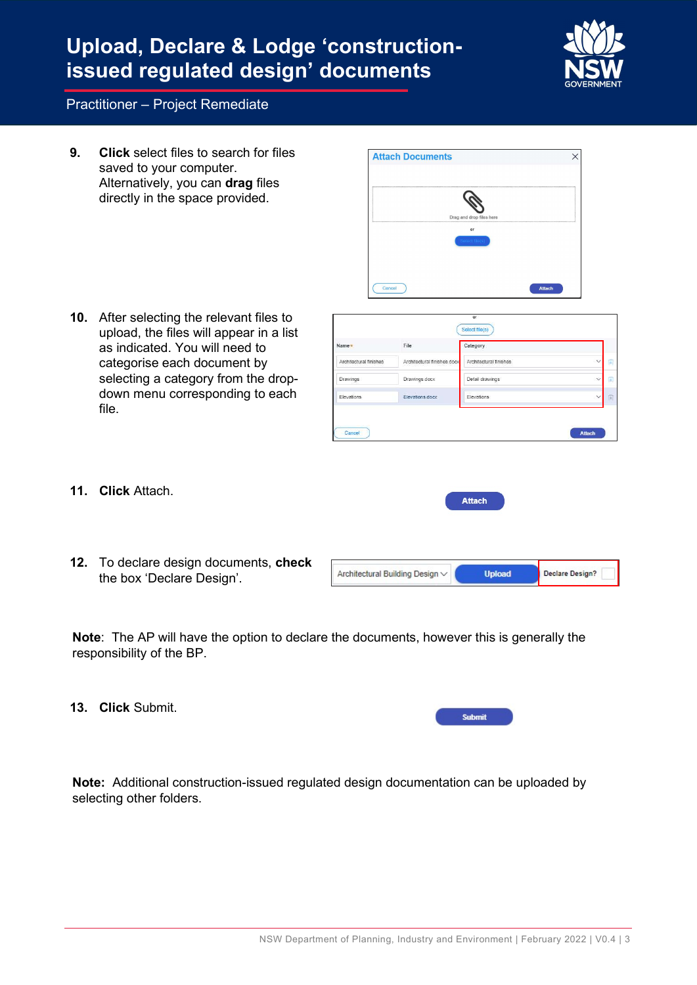# Upload, Declare & Lodge 'constructionissued regulated design' documents



#### Practitioner – Project Remediate

9. Click select files to search for files saved to your computer. Alternatively, you can drag files directly in the space provided.

10. After selecting the relevant files to upload, the files will appear in a list as indicated. You will need to categorise each document by selecting a category from the dropdown menu corresponding to each file.



| Architectural finishes | Architectural finishes docx | Architectural finishes | $\vee$       | (ö) |
|------------------------|-----------------------------|------------------------|--------------|-----|
| Drawings               | Drawings.docx               | Detail drawings        | $\checkmark$ | 同   |
|                        |                             |                        |              |     |
| Elevations             | Elevations.docx             | Elevations             | $\checkmark$ | 圓   |

- 11. Click Attach.
- 12. To declare design documents, check the box 'Declare Design'.

| Architectural Building Design V | Declare Design? |
|---------------------------------|-----------------|
|                                 |                 |

**Attach** 

Note: The AP will have the option to declare the documents, however this is generally the responsibility of the BP.

13. Click Submit.

|--|--|--|--|

Note: Additional construction-issued regulated design documentation can be uploaded by selecting other folders.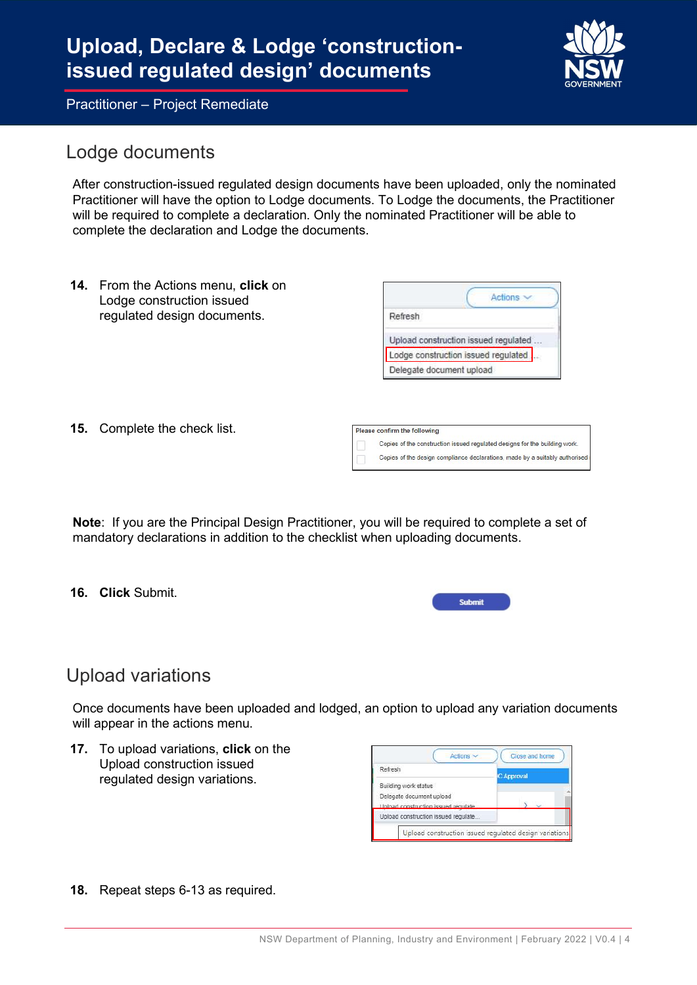### Lodge documents

After construction-issued regulated design documents have been uploaded, only the nominated Practitioner will have the option to Lodge documents. To Lodge the documents, the Practitioner will be required to complete a declaration. Only the nominated Practitioner will be able to complete the declaration and Lodge the documents.

14. From the Actions menu, click on Lodge construction issued regulated design documents.

|                          | Actions                              |
|--------------------------|--------------------------------------|
| Refresh                  |                                      |
|                          | Upload construction issued regulated |
|                          | Lodge construction issued regulated  |
| Delegate document upload |                                      |

Copies of the construction issued regulated designs for the building work. Copies of the design compliance declarations, made by a suitably authorised

15. Complete the check list.

Note: If you are the Principal Design Practitioner, you will be required to complete a set of mandatory declarations in addition to the checklist when uploading documents.

Please confirm the following

16. Click Submit.

| mit |  |
|-----|--|
|     |  |

### Upload variations

Once documents have been uploaded and lodged, an option to upload any variation documents will appear in the actions menu.

17. To upload variations, click on the Upload construction issued regulated design variations.

| Refresh                             | <b>C Approval</b> |
|-------------------------------------|-------------------|
| Building work status                |                   |
| Delegate document upload            |                   |
| Unload construction issued regulate |                   |
| Upload construction issued regulate |                   |

18. Repeat steps 6-13 as required.

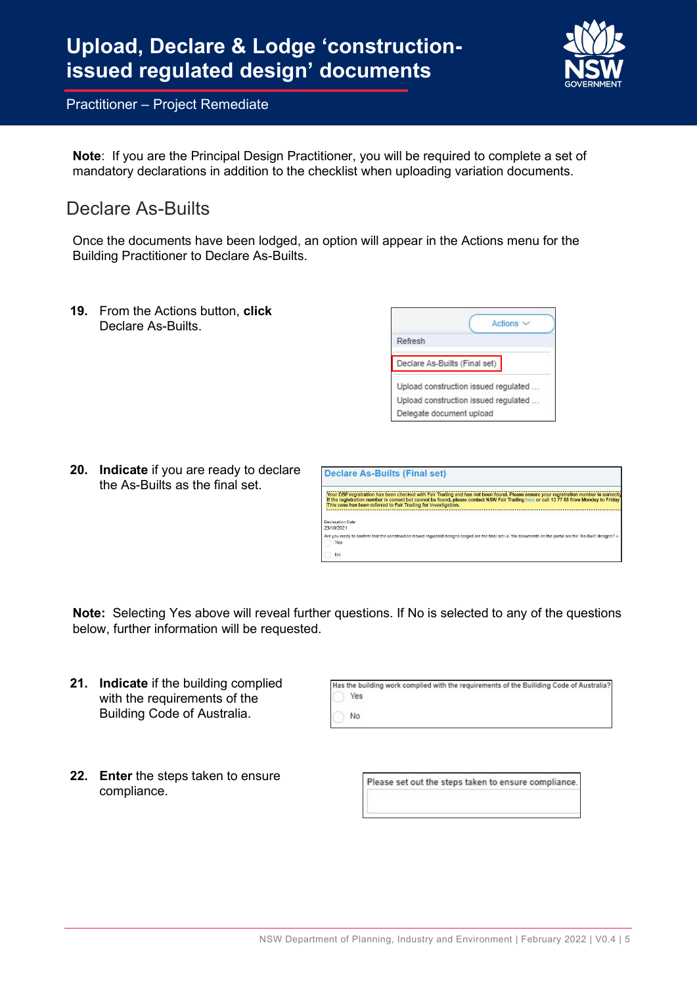

Note: If you are the Principal Design Practitioner, you will be required to complete a set of mandatory declarations in addition to the checklist when uploading variation documents.

### Declare As-Builts

Once the documents have been lodged, an option will appear in the Actions menu for the Building Practitioner to Declare As-Builts.

**19.** From the Actions button, **click** Declare As-Builts.

|                                      | Actions $\sim$                       |
|--------------------------------------|--------------------------------------|
| Refresh                              |                                      |
| Declare As-Builts (Final set)        |                                      |
| Upload construction issued regulated |                                      |
|                                      | Upload construction issued regulated |
| Delegate document upload             |                                      |

20. Indicate if you are ready to declare the As-Builts as the final set.

|                                       | Declare As-Builts (Final set)                                                                                                                                                                                                                                                                                                                    |
|---------------------------------------|--------------------------------------------------------------------------------------------------------------------------------------------------------------------------------------------------------------------------------------------------------------------------------------------------------------------------------------------------|
|                                       | Your DBP registration has been checked with Fair Trading and has not been found. Please ensure your registration number is correctly<br>If the registration number is correct but cannot be found, please contact NSW Fair Trading here or call 13 77 88 from Monday to Friday<br>This case has been referred to Fair Trading for investigation. |
| <b>Declaration Date</b><br>23/10/2021 |                                                                                                                                                                                                                                                                                                                                                  |
| <b>Yes</b>                            | Are you ready to confirm that the construction issued requiated designs lodged are the final set i.e. the documents on the portal are the 'As-Built' designs?                                                                                                                                                                                    |
| No                                    |                                                                                                                                                                                                                                                                                                                                                  |

Note: Selecting Yes above will reveal further questions. If No is selected to any of the questions below, further information will be requested.

- 21. Indicate if the building complied with the requirements of the Building Code of Australia.
- 22. Enter the steps taken to ensure compliance.

Has the building work complied with the requirements of the Builiding Code of Australia? Yes No

Please set out the steps taken to ensure compliance.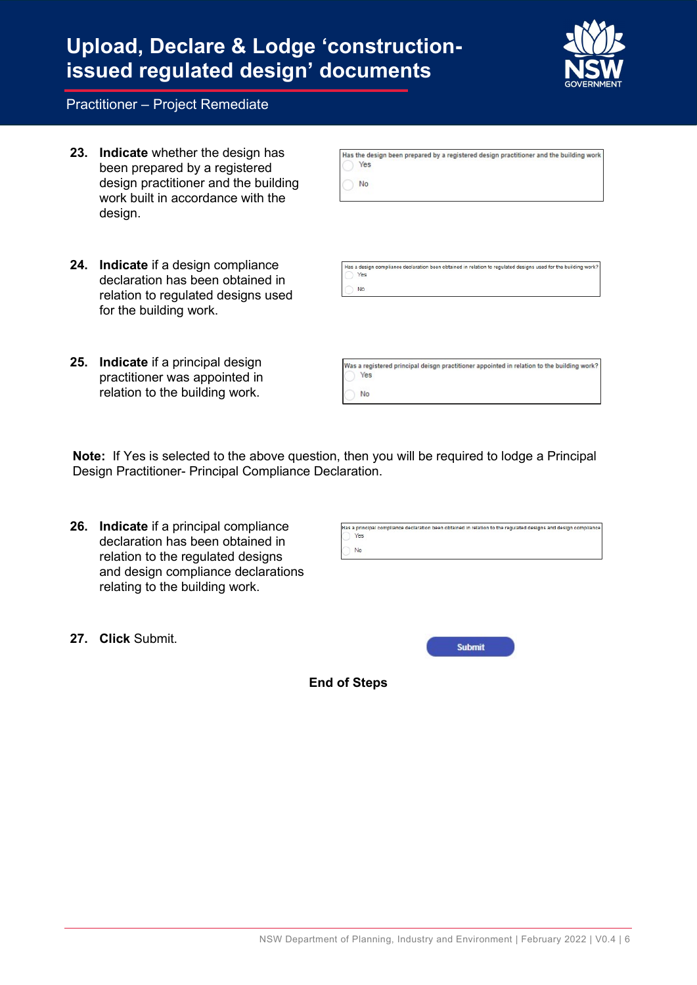## Upload, Declare & Lodge 'constructionissued regulated design' documents



#### Practitioner – Project Remediate

- 23. Indicate whether the design has been prepared by a registered design practitioner and the building work built in accordance with the design.
- 24. Indicate if a design compliance declaration has been obtained in relation to regulated designs used for the building work.
- 25. Indicate if a principal design practitioner was appointed in relation to the building work.

| Yes | Has the design been prepared by a registered design practitioner and the building work |
|-----|----------------------------------------------------------------------------------------|
| No. |                                                                                        |

Has a design compliance declaration been obtained in relation to regulated designs used for the building work Yes No

Was a registered principal deisgn practitioner appointed in relation to the building work? Yes No

Note: If Yes is selected to the above question, then you will be required to lodge a Principal Design Practitioner- Principal Compliance Declaration.

- 26. Indicate if a principal compliance declaration has been obtained in relation to the regulated designs and design compliance declarations relating to the building work.
- Yes No

Has a principal compliance declaration been obtained in relation to the regulated designs and design complian

27. Click Submit.



End of Steps